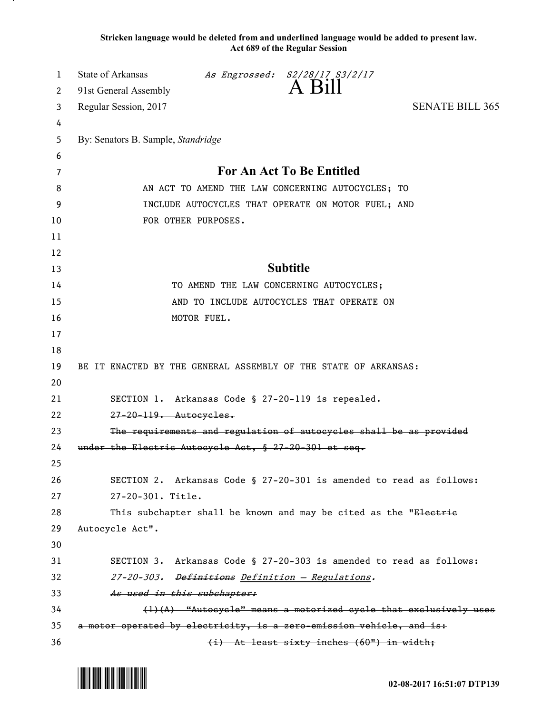**Stricken language would be deleted from and underlined language would be added to present law. Act 689 of the Regular Session**

| 1<br>2   | State of Arkansas<br>91st General Assembly                                                           |             | As Engrossed: S2/28/17 S3/2/17<br>A Bill                         |                                                                     |  |
|----------|------------------------------------------------------------------------------------------------------|-------------|------------------------------------------------------------------|---------------------------------------------------------------------|--|
| 3        | Regular Session, 2017                                                                                |             |                                                                  | <b>SENATE BILL 365</b>                                              |  |
| 4        |                                                                                                      |             |                                                                  |                                                                     |  |
| 5        | By: Senators B. Sample, Standridge                                                                   |             |                                                                  |                                                                     |  |
| 6        |                                                                                                      |             |                                                                  |                                                                     |  |
| 7        | <b>For An Act To Be Entitled</b>                                                                     |             |                                                                  |                                                                     |  |
| 8        | AN ACT TO AMEND THE LAW CONCERNING AUTOCYCLES; TO                                                    |             |                                                                  |                                                                     |  |
| 9        | INCLUDE AUTOCYCLES THAT OPERATE ON MOTOR FUEL; AND                                                   |             |                                                                  |                                                                     |  |
| 10       | FOR OTHER PURPOSES.                                                                                  |             |                                                                  |                                                                     |  |
| 11       |                                                                                                      |             |                                                                  |                                                                     |  |
| 12       |                                                                                                      |             |                                                                  |                                                                     |  |
| 13       | <b>Subtitle</b>                                                                                      |             |                                                                  |                                                                     |  |
| 14       |                                                                                                      |             | TO AMEND THE LAW CONCERNING AUTOCYCLES;                          |                                                                     |  |
| 15       | AND TO INCLUDE AUTOCYCLES THAT OPERATE ON                                                            |             |                                                                  |                                                                     |  |
| 16       |                                                                                                      | MOTOR FUEL. |                                                                  |                                                                     |  |
| 17       |                                                                                                      |             |                                                                  |                                                                     |  |
| 18       |                                                                                                      |             |                                                                  |                                                                     |  |
| 19       | BE IT ENACTED BY THE GENERAL ASSEMBLY OF THE STATE OF ARKANSAS:                                      |             |                                                                  |                                                                     |  |
| 20       |                                                                                                      |             |                                                                  |                                                                     |  |
| 21       |                                                                                                      |             | SECTION 1. Arkansas Code § 27-20-119 is repealed.                |                                                                     |  |
| 22       | $27-20-119$ . Autocycles.                                                                            |             |                                                                  |                                                                     |  |
| 23       | The requirements and regulation of autocycles shall be as provided                                   |             |                                                                  |                                                                     |  |
| 24       | under the Electric Autocycle Act, § 27-20-301 et seq.                                                |             |                                                                  |                                                                     |  |
| 25       |                                                                                                      |             |                                                                  |                                                                     |  |
| 26       |                                                                                                      |             |                                                                  | SECTION 2. Arkansas Code § 27-20-301 is amended to read as follows: |  |
| 27       | 27-20-301. Title.                                                                                    |             |                                                                  |                                                                     |  |
| 28       |                                                                                                      |             | This subchapter shall be known and may be cited as the "Electric |                                                                     |  |
| 29       | Autocycle Act".                                                                                      |             |                                                                  |                                                                     |  |
| 30       |                                                                                                      |             |                                                                  |                                                                     |  |
| 31<br>32 |                                                                                                      |             |                                                                  | SECTION 3. Arkansas Code § 27-20-303 is amended to read as follows: |  |
| 33       |                                                                                                      |             | 27-20-303. Definitions Definition - Regulations.                 |                                                                     |  |
| 34       | As used in this subchapter:<br>$(1)$ $(A)$ "Autocycle" means a motorized cycle that exclusively uses |             |                                                                  |                                                                     |  |
| 35       | a motor operated by electricity, is a zero-emission vehicle, and is:                                 |             |                                                                  |                                                                     |  |
| 36       |                                                                                                      |             | (i) At least sixty inches (60") in width;                        |                                                                     |  |

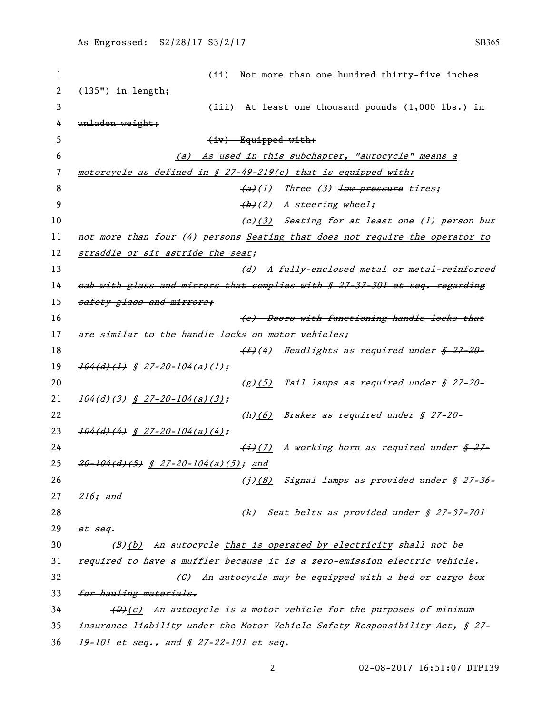| 1  | (ii) Not more than one hundred thirty-five inches                                      |  |  |  |  |
|----|----------------------------------------------------------------------------------------|--|--|--|--|
| 2  | $(135")$ in length;                                                                    |  |  |  |  |
| 3  | $(iii)$ At least one thousand pounds $(1,000$ lbs.) in                                 |  |  |  |  |
| 4  | unladen weight;                                                                        |  |  |  |  |
| 5  | $(iv)$ Equipped with:                                                                  |  |  |  |  |
| 6  | (a) As used in this subchapter, "autocycle" means a                                    |  |  |  |  |
| 7  | motorcycle as defined in $\S$ 27-49-219(c) that is equipped with:                      |  |  |  |  |
| 8  | $(a)$ (1) Three (3) low pressure tires;                                                |  |  |  |  |
| 9  | $(b)$ (2) A steering wheel;                                                            |  |  |  |  |
| 10 | (e)(3) Seating for at least one (1) person but                                         |  |  |  |  |
| 11 | not more than four (4) persons Seating that does not require the operator to           |  |  |  |  |
| 12 | straddle or sit astride the seat;                                                      |  |  |  |  |
| 13 | (d) A fully-enclosed metal or metal-reinforced                                         |  |  |  |  |
| 14 | eab with glass and mirrors that complies with § 27-37-301 et seq. regarding            |  |  |  |  |
| 15 | safety glass and mirrors;                                                              |  |  |  |  |
| 16 | (e) Doors with functioning handle locks that                                           |  |  |  |  |
| 17 | are similar to the handle locks on motor vehicles;                                     |  |  |  |  |
| 18 | (f)(4) Headlights as required under \$ 27-20-                                          |  |  |  |  |
| 19 | $\frac{104(d)(1)}{s}$ $\frac{27-20-104(a)(1)}{s}$                                      |  |  |  |  |
| 20 | $\frac{1}{2}$ (5) Tail lamps as required under $\frac{1}{2}$ 27-20-                    |  |  |  |  |
| 21 | $\frac{104(d)(3)}{8}$ <u>\$</u> 27-20-104(a)(3);                                       |  |  |  |  |
| 22 | $\frac{h}{h}$ (6) Brakes as required under $\frac{g}{h}$ 27-20-                        |  |  |  |  |
| 23 | $104(d)(4)$ § 27-20-104(a)(4);                                                         |  |  |  |  |
| 24 | $\frac{1}{2}$ (7) A working horn as required under $\frac{2}{5}$                       |  |  |  |  |
| 25 | $20-104(d)$ (5) § 27-20-104(a)(5); and                                                 |  |  |  |  |
| 26 | (1)(8) Signal lamps as provided under § 27-36-                                         |  |  |  |  |
| 27 | $216$ ; and                                                                            |  |  |  |  |
| 28 | (k) Seat belts as provided under § 27-37-701                                           |  |  |  |  |
| 29 | et seq.                                                                                |  |  |  |  |
| 30 | (B)(b) An autocycle that is operated by electricity shall not be                       |  |  |  |  |
| 31 | required to have a muffler because it is a zero-emission electric vehicle.             |  |  |  |  |
| 32 | (C) An autocycle may be equipped with a bed or cargo box                               |  |  |  |  |
| 33 | for hauling materials.                                                                 |  |  |  |  |
| 34 | $\left(\frac{D}{C}\right)$ An autocycle is a motor vehicle for the purposes of minimum |  |  |  |  |
| 35 | insurance liability under the Motor Vehicle Safety Responsibility Act, § 27-           |  |  |  |  |
| 36 | 19-101 et seq., and $$ 27-22-101$ et seq.                                              |  |  |  |  |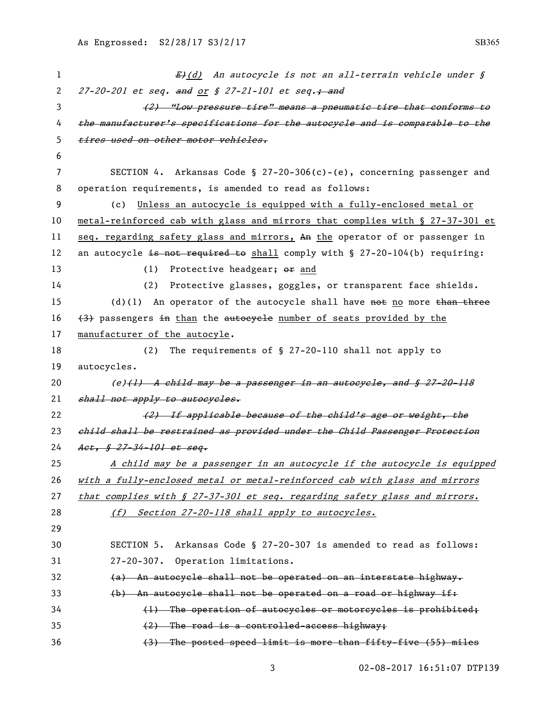| 1            | E <sub>t</sub> (d) An autocycle is not an all-terrain vehicle under §          |  |  |  |
|--------------|--------------------------------------------------------------------------------|--|--|--|
| $\mathbf{2}$ | 27-20-201 et seq. and or § 27-21-101 et seq.; and                              |  |  |  |
| 3            | (2) "Low pressure tire" means a pneumatie tire that conforms to                |  |  |  |
| 4            | the manufacturer's specifications for the autocycle and is comparable to the   |  |  |  |
| 5            | tires used on other motor vehicles.                                            |  |  |  |
| 6            |                                                                                |  |  |  |
| 7            | SECTION 4. Arkansas Code § 27-20-306(c)-(e), concerning passenger and          |  |  |  |
| 8            | operation requirements, is amended to read as follows:                         |  |  |  |
| 9            | Unless an autocycle is equipped with a fully-enclosed metal or<br>(c)          |  |  |  |
| 10           | metal-reinforced cab with glass and mirrors that complies with § 27-37-301 et  |  |  |  |
| 11           | seq. regarding safety glass and mirrors, An the operator of or passenger in    |  |  |  |
| 12           | an autocycle is not required to shall comply with $\S$ 27-20-104(b) requiring: |  |  |  |
| 13           | Protective headgear; or and<br>(1)                                             |  |  |  |
| 14           | Protective glasses, goggles, or transparent face shields.<br>(2)               |  |  |  |
| 15           | (d)(1) An operator of the autocycle shall have not no more than three          |  |  |  |
| 16           | (3) passengers in than the autocycle number of seats provided by the           |  |  |  |
| 17           | manufacturer of the autocyle.                                                  |  |  |  |
| 18           | The requirements of § 27-20-110 shall not apply to<br>(2)                      |  |  |  |
| 19           | autocycles.                                                                    |  |  |  |
| 20           | (e) <del>(1) A child may be a passenger in an autocycle, and § 27-20-118</del> |  |  |  |
| 21           | shall not apply to autocycles.                                                 |  |  |  |
| 22           | (2) If applicable because of the child's age or weight, the                    |  |  |  |
| 23           | child shall be restrained as provided under the Child Passenger Protection     |  |  |  |
| 24           | Act, § 27-34-101 et seq.                                                       |  |  |  |
| 25           | A child may be a passenger in an autocycle if the autocycle is equipped        |  |  |  |
| 26           | with a fully-enclosed metal or metal-reinforced cab with glass and mirrors     |  |  |  |
| 27           | that complies with § 27-37-301 et seq. regarding safety glass and mirrors.     |  |  |  |
| 28           | (f) Section 27-20-118 shall apply to autocycles.                               |  |  |  |
| 29           |                                                                                |  |  |  |
| 30           | SECTION 5. Arkansas Code § 27-20-307 is amended to read as follows:            |  |  |  |
| 31           | 27-20-307. Operation limitations.                                              |  |  |  |
| 32           | (a) An autocycle shall not be operated on an interstate highway.               |  |  |  |
| 33           | (b) An autocycle shall not be operated on a road or highway if:                |  |  |  |
| 34           | (1) The operation of autocycles or motorcycles is prohibited;                  |  |  |  |
| 35           | $(2)$ The road is a controlled-access highway;                                 |  |  |  |
| 36           | (3) The posted speed limit is more than fifty-five (55) miles                  |  |  |  |